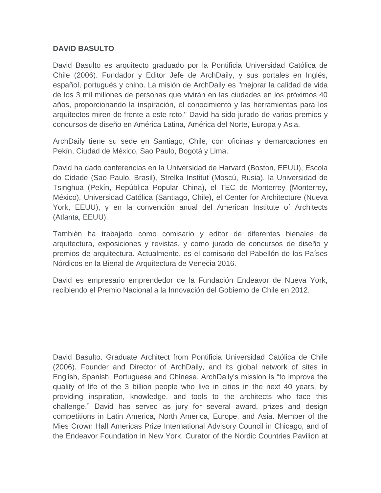## **DAVID BASULTO**

David Basulto es arquitecto graduado por la Pontificia Universidad Católica de Chile (2006). Fundador y Editor Jefe de ArchDaily, y sus portales en Inglés, español, portugués y chino. La misión de ArchDaily es "mejorar la calidad de vida de los 3 mil millones de personas que vivirán en las ciudades en los próximos 40 años, proporcionando la inspiración, el conocimiento y las herramientas para los arquitectos miren de frente a este reto." David ha sido jurado de varios premios y concursos de diseño en América Latina, América del Norte, Europa y Asia.

ArchDaily tiene su sede en Santiago, Chile, con oficinas y demarcaciones en Pekín, Ciudad de México, Sao Paulo, Bogotá y Lima.

David ha dado conferencias en la Universidad de Harvard (Boston, EEUU), Escola do Cidade (Sao Paulo, Brasil), Strelka Institut (Moscú, Rusia), la Universidad de Tsinghua (Pekín, República Popular China), el TEC de Monterrey (Monterrey, México), Universidad Católica (Santiago, Chile), el Center for Architecture (Nueva York, EEUU), y en la convención anual del American Institute of Architects (Atlanta, EEUU).

También ha trabajado como comisario y editor de diferentes bienales de arquitectura, exposiciones y revistas, y como jurado de concursos de diseño y premios de arquitectura. Actualmente, es el comisario del Pabellón de los Países Nórdicos en la Bienal de Arquitectura de Venecia 2016.

David es empresario emprendedor de la Fundación Endeavor de Nueva York, recibiendo el Premio Nacional a la Innovación del Gobierno de Chile en 2012.

David Basulto. Graduate Architect from Pontificia Universidad Católica de Chile (2006). Founder and Director of ArchDaily, and its global network of sites in English, Spanish, Portuguese and Chinese. ArchDaily's mission is "to improve the quality of life of the 3 billion people who live in cities in the next 40 years, by providing inspiration, knowledge, and tools to the architects who face this challenge." David has served as jury for several award, prizes and design competitions in Latin America, North America, Europe, and Asia. Member of the Mies Crown Hall Americas Prize International Advisory Council in Chicago, and of the Endeavor Foundation in New York. Curator of the Nordic Countries Pavilion at